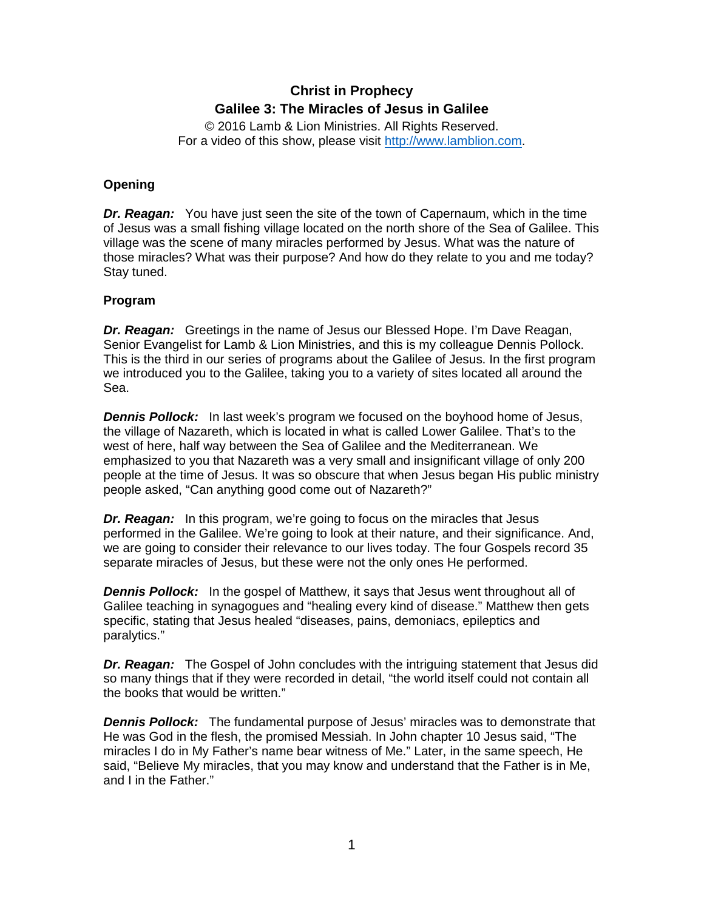## **Christ in Prophecy Galilee 3: The Miracles of Jesus in Galilee**

© 2016 Lamb & Lion Ministries. All Rights Reserved. For a video of this show, please visit [http://www.lamblion.com.](http://www.lamblion.com/)

## **Opening**

*Dr. Reagan:* You have just seen the site of the town of Capernaum, which in the time of Jesus was a small fishing village located on the north shore of the Sea of Galilee. This village was the scene of many miracles performed by Jesus. What was the nature of those miracles? What was their purpose? And how do they relate to you and me today? Stay tuned.

## **Program**

*Dr. Reagan:* Greetings in the name of Jesus our Blessed Hope. I'm Dave Reagan, Senior Evangelist for Lamb & Lion Ministries, and this is my colleague Dennis Pollock. This is the third in our series of programs about the Galilee of Jesus. In the first program we introduced you to the Galilee, taking you to a variety of sites located all around the Sea.

*Dennis Pollock:* In last week's program we focused on the boyhood home of Jesus, the village of Nazareth, which is located in what is called Lower Galilee. That's to the west of here, half way between the Sea of Galilee and the Mediterranean. We emphasized to you that Nazareth was a very small and insignificant village of only 200 people at the time of Jesus. It was so obscure that when Jesus began His public ministry people asked, "Can anything good come out of Nazareth?"

*Dr. Reagan:* In this program, we're going to focus on the miracles that Jesus performed in the Galilee. We're going to look at their nature, and their significance. And, we are going to consider their relevance to our lives today. The four Gospels record 35 separate miracles of Jesus, but these were not the only ones He performed.

**Dennis Pollock:** In the gospel of Matthew, it says that Jesus went throughout all of Galilee teaching in synagogues and "healing every kind of disease." Matthew then gets specific, stating that Jesus healed "diseases, pains, demoniacs, epileptics and paralytics."

*Dr. Reagan:* The Gospel of John concludes with the intriguing statement that Jesus did so many things that if they were recorded in detail, "the world itself could not contain all the books that would be written."

*Dennis Pollock:* The fundamental purpose of Jesus' miracles was to demonstrate that He was God in the flesh, the promised Messiah. In John chapter 10 Jesus said, "The miracles I do in My Father's name bear witness of Me." Later, in the same speech, He said, "Believe My miracles, that you may know and understand that the Father is in Me, and I in the Father."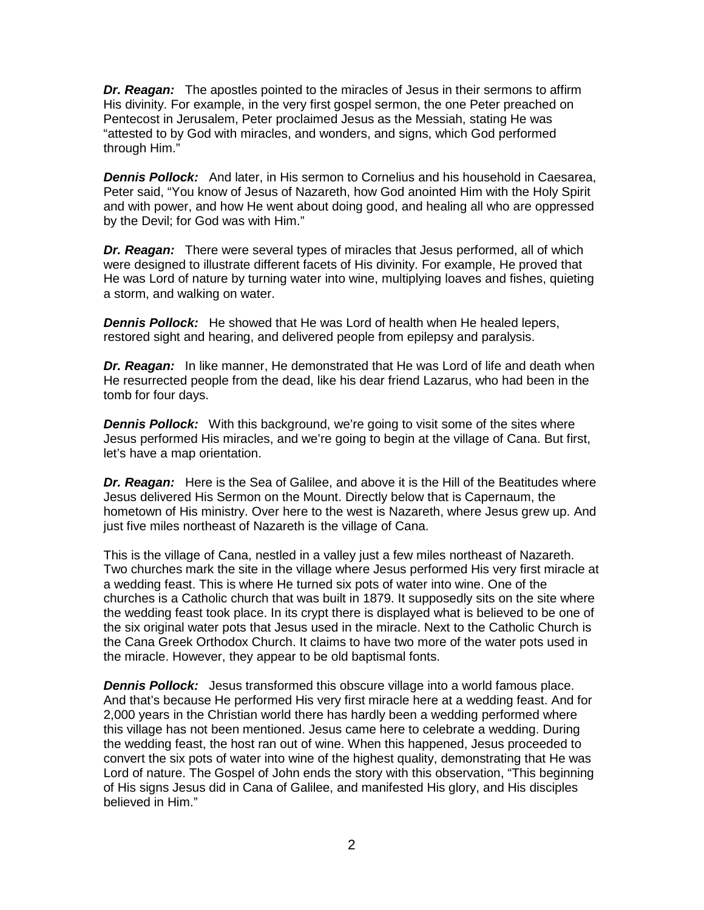*Dr. Reagan:* The apostles pointed to the miracles of Jesus in their sermons to affirm His divinity. For example, in the very first gospel sermon, the one Peter preached on Pentecost in Jerusalem, Peter proclaimed Jesus as the Messiah, stating He was "attested to by God with miracles, and wonders, and signs, which God performed through Him."

*Dennis Pollock:* And later, in His sermon to Cornelius and his household in Caesarea, Peter said, "You know of Jesus of Nazareth, how God anointed Him with the Holy Spirit and with power, and how He went about doing good, and healing all who are oppressed by the Devil; for God was with Him."

*Dr. Reagan:* There were several types of miracles that Jesus performed, all of which were designed to illustrate different facets of His divinity. For example, He proved that He was Lord of nature by turning water into wine, multiplying loaves and fishes, quieting a storm, and walking on water.

*Dennis Pollock:* He showed that He was Lord of health when He healed lepers, restored sight and hearing, and delivered people from epilepsy and paralysis.

*Dr. Reagan:* In like manner, He demonstrated that He was Lord of life and death when He resurrected people from the dead, like his dear friend Lazarus, who had been in the tomb for four days.

**Dennis Pollock:** With this background, we're going to visit some of the sites where Jesus performed His miracles, and we're going to begin at the village of Cana. But first, let's have a map orientation.

**Dr. Reagan:** Here is the Sea of Galilee, and above it is the Hill of the Beatitudes where Jesus delivered His Sermon on the Mount. Directly below that is Capernaum, the hometown of His ministry. Over here to the west is Nazareth, where Jesus grew up. And just five miles northeast of Nazareth is the village of Cana.

This is the village of Cana, nestled in a valley just a few miles northeast of Nazareth. Two churches mark the site in the village where Jesus performed His very first miracle at a wedding feast. This is where He turned six pots of water into wine. One of the churches is a Catholic church that was built in 1879. It supposedly sits on the site where the wedding feast took place. In its crypt there is displayed what is believed to be one of the six original water pots that Jesus used in the miracle. Next to the Catholic Church is the Cana Greek Orthodox Church. It claims to have two more of the water pots used in the miracle. However, they appear to be old baptismal fonts.

*Dennis Pollock:* Jesus transformed this obscure village into a world famous place. And that's because He performed His very first miracle here at a wedding feast. And for 2,000 years in the Christian world there has hardly been a wedding performed where this village has not been mentioned. Jesus came here to celebrate a wedding. During the wedding feast, the host ran out of wine. When this happened, Jesus proceeded to convert the six pots of water into wine of the highest quality, demonstrating that He was Lord of nature. The Gospel of John ends the story with this observation, "This beginning of His signs Jesus did in Cana of Galilee, and manifested His glory, and His disciples believed in Him."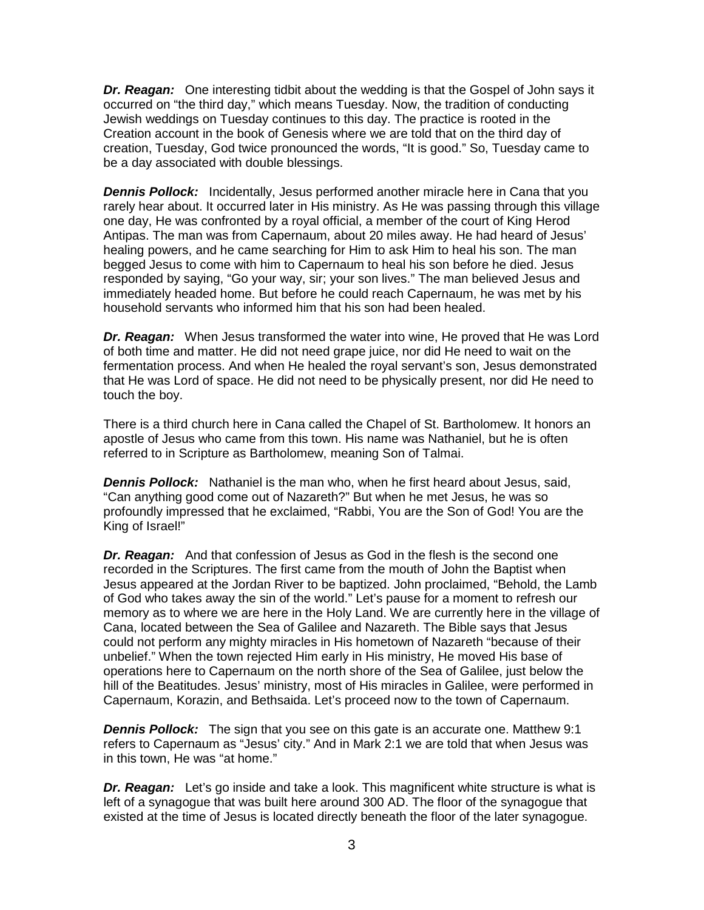*Dr. Reagan:* One interesting tidbit about the wedding is that the Gospel of John says it occurred on "the third day," which means Tuesday. Now, the tradition of conducting Jewish weddings on Tuesday continues to this day. The practice is rooted in the Creation account in the book of Genesis where we are told that on the third day of creation, Tuesday, God twice pronounced the words, "It is good." So, Tuesday came to be a day associated with double blessings.

*Dennis Pollock:* Incidentally, Jesus performed another miracle here in Cana that you rarely hear about. It occurred later in His ministry. As He was passing through this village one day, He was confronted by a royal official, a member of the court of King Herod Antipas. The man was from Capernaum, about 20 miles away. He had heard of Jesus' healing powers, and he came searching for Him to ask Him to heal his son. The man begged Jesus to come with him to Capernaum to heal his son before he died. Jesus responded by saying, "Go your way, sir; your son lives." The man believed Jesus and immediately headed home. But before he could reach Capernaum, he was met by his household servants who informed him that his son had been healed.

*Dr. Reagan:* When Jesus transformed the water into wine, He proved that He was Lord of both time and matter. He did not need grape juice, nor did He need to wait on the fermentation process. And when He healed the royal servant's son, Jesus demonstrated that He was Lord of space. He did not need to be physically present, nor did He need to touch the boy.

There is a third church here in Cana called the Chapel of St. Bartholomew. It honors an apostle of Jesus who came from this town. His name was Nathaniel, but he is often referred to in Scripture as Bartholomew, meaning Son of Talmai.

*Dennis Pollock:* Nathaniel is the man who, when he first heard about Jesus, said, "Can anything good come out of Nazareth?" But when he met Jesus, he was so profoundly impressed that he exclaimed, "Rabbi, You are the Son of God! You are the King of Israel!"

*Dr. Reagan:* And that confession of Jesus as God in the flesh is the second one recorded in the Scriptures. The first came from the mouth of John the Baptist when Jesus appeared at the Jordan River to be baptized. John proclaimed, "Behold, the Lamb of God who takes away the sin of the world." Let's pause for a moment to refresh our memory as to where we are here in the Holy Land. We are currently here in the village of Cana, located between the Sea of Galilee and Nazareth. The Bible says that Jesus could not perform any mighty miracles in His hometown of Nazareth "because of their unbelief." When the town rejected Him early in His ministry, He moved His base of operations here to Capernaum on the north shore of the Sea of Galilee, just below the hill of the Beatitudes. Jesus' ministry, most of His miracles in Galilee, were performed in Capernaum, Korazin, and Bethsaida. Let's proceed now to the town of Capernaum.

*Dennis Pollock:* The sign that you see on this gate is an accurate one. Matthew 9:1 refers to Capernaum as "Jesus' city." And in Mark 2:1 we are told that when Jesus was in this town, He was "at home."

*Dr. Reagan:* Let's go inside and take a look. This magnificent white structure is what is left of a synagogue that was built here around 300 AD. The floor of the synagogue that existed at the time of Jesus is located directly beneath the floor of the later synagogue.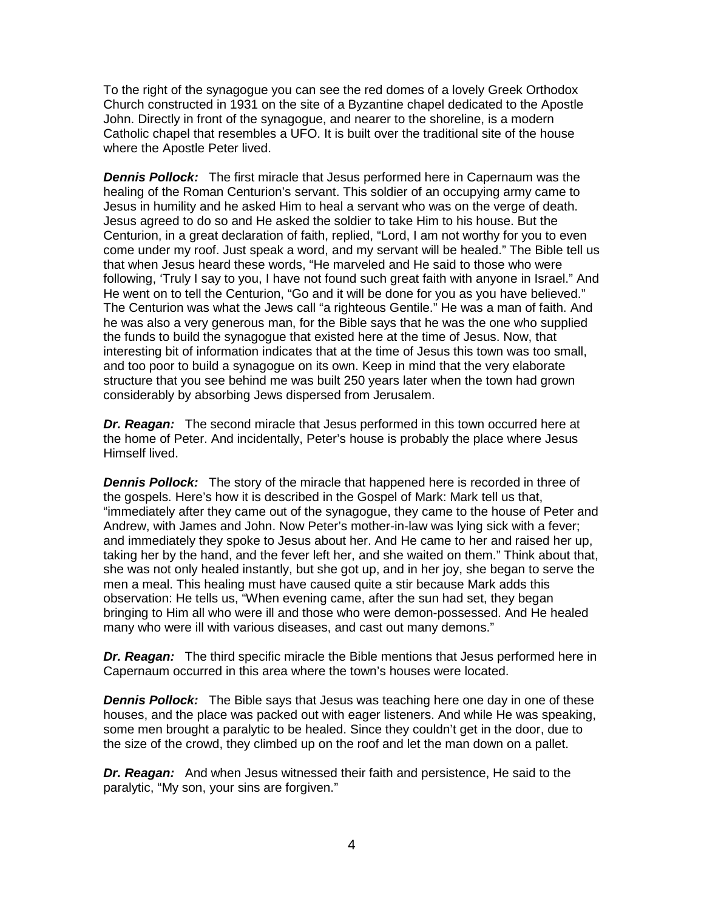To the right of the synagogue you can see the red domes of a lovely Greek Orthodox Church constructed in 1931 on the site of a Byzantine chapel dedicated to the Apostle John. Directly in front of the synagogue, and nearer to the shoreline, is a modern Catholic chapel that resembles a UFO. It is built over the traditional site of the house where the Apostle Peter lived.

*Dennis Pollock:* The first miracle that Jesus performed here in Capernaum was the healing of the Roman Centurion's servant. This soldier of an occupying army came to Jesus in humility and he asked Him to heal a servant who was on the verge of death. Jesus agreed to do so and He asked the soldier to take Him to his house. But the Centurion, in a great declaration of faith, replied, "Lord, I am not worthy for you to even come under my roof. Just speak a word, and my servant will be healed." The Bible tell us that when Jesus heard these words, "He marveled and He said to those who were following, 'Truly I say to you, I have not found such great faith with anyone in Israel." And He went on to tell the Centurion, "Go and it will be done for you as you have believed." The Centurion was what the Jews call "a righteous Gentile." He was a man of faith. And he was also a very generous man, for the Bible says that he was the one who supplied the funds to build the synagogue that existed here at the time of Jesus. Now, that interesting bit of information indicates that at the time of Jesus this town was too small, and too poor to build a synagogue on its own. Keep in mind that the very elaborate structure that you see behind me was built 250 years later when the town had grown considerably by absorbing Jews dispersed from Jerusalem.

*Dr. Reagan:* The second miracle that Jesus performed in this town occurred here at the home of Peter. And incidentally, Peter's house is probably the place where Jesus Himself lived.

**Dennis Pollock:** The story of the miracle that happened here is recorded in three of the gospels. Here's how it is described in the Gospel of Mark: Mark tell us that, "immediately after they came out of the synagogue, they came to the house of Peter and Andrew, with James and John. Now Peter's mother-in-law was lying sick with a fever; and immediately they spoke to Jesus about her. And He came to her and raised her up, taking her by the hand, and the fever left her, and she waited on them." Think about that, she was not only healed instantly, but she got up, and in her joy, she began to serve the men a meal. This healing must have caused quite a stir because Mark adds this observation: He tells us, "When evening came, after the sun had set, they began bringing to Him all who were ill and those who were demon-possessed. And He healed many who were ill with various diseases, and cast out many demons."

**Dr. Reagan:** The third specific miracle the Bible mentions that Jesus performed here in Capernaum occurred in this area where the town's houses were located.

*Dennis Pollock:* The Bible says that Jesus was teaching here one day in one of these houses, and the place was packed out with eager listeners. And while He was speaking, some men brought a paralytic to be healed. Since they couldn't get in the door, due to the size of the crowd, they climbed up on the roof and let the man down on a pallet.

*Dr. Reagan:* And when Jesus witnessed their faith and persistence, He said to the paralytic, "My son, your sins are forgiven."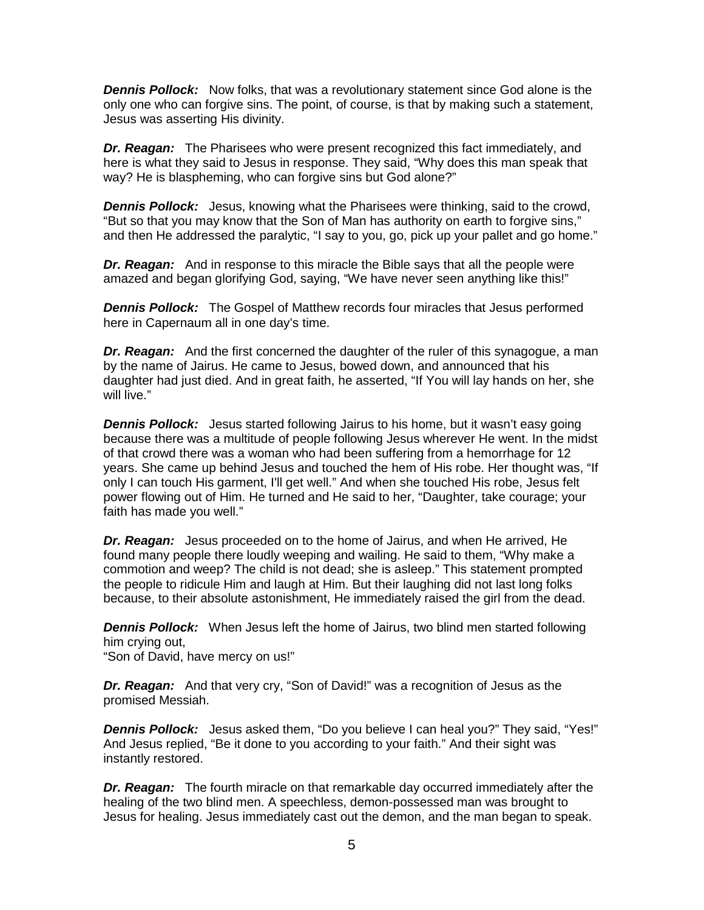*Dennis Pollock:* Now folks, that was a revolutionary statement since God alone is the only one who can forgive sins. The point, of course, is that by making such a statement, Jesus was asserting His divinity.

*Dr. Reagan:* The Pharisees who were present recognized this fact immediately, and here is what they said to Jesus in response. They said, "Why does this man speak that way? He is blaspheming, who can forgive sins but God alone?"

*Dennis Pollock:* Jesus, knowing what the Pharisees were thinking, said to the crowd, "But so that you may know that the Son of Man has authority on earth to forgive sins," and then He addressed the paralytic, "I say to you, go, pick up your pallet and go home."

*Dr. Reagan:* And in response to this miracle the Bible says that all the people were amazed and began glorifying God, saying, "We have never seen anything like this!"

*Dennis Pollock:* The Gospel of Matthew records four miracles that Jesus performed here in Capernaum all in one day's time.

*Dr. Reagan:* And the first concerned the daughter of the ruler of this synagogue, a man by the name of Jairus. He came to Jesus, bowed down, and announced that his daughter had just died. And in great faith, he asserted, "If You will lay hands on her, she will live."

**Dennis Pollock:** Jesus started following Jairus to his home, but it wasn't easy going because there was a multitude of people following Jesus wherever He went. In the midst of that crowd there was a woman who had been suffering from a hemorrhage for 12 years. She came up behind Jesus and touched the hem of His robe. Her thought was, "If only I can touch His garment, I'll get well." And when she touched His robe, Jesus felt power flowing out of Him. He turned and He said to her, "Daughter, take courage; your faith has made you well."

*Dr. Reagan:* Jesus proceeded on to the home of Jairus, and when He arrived, He found many people there loudly weeping and wailing. He said to them, "Why make a commotion and weep? The child is not dead; she is asleep." This statement prompted the people to ridicule Him and laugh at Him. But their laughing did not last long folks because, to their absolute astonishment, He immediately raised the girl from the dead.

*Dennis Pollock:* When Jesus left the home of Jairus, two blind men started following him crying out,

"Son of David, have mercy on us!"

*Dr. Reagan:* And that very cry, "Son of David!" was a recognition of Jesus as the promised Messiah.

*Dennis Pollock:* Jesus asked them, "Do you believe I can heal you?" They said, "Yes!" And Jesus replied, "Be it done to you according to your faith." And their sight was instantly restored.

*Dr. Reagan:* The fourth miracle on that remarkable day occurred immediately after the healing of the two blind men. A speechless, demon-possessed man was brought to Jesus for healing. Jesus immediately cast out the demon, and the man began to speak.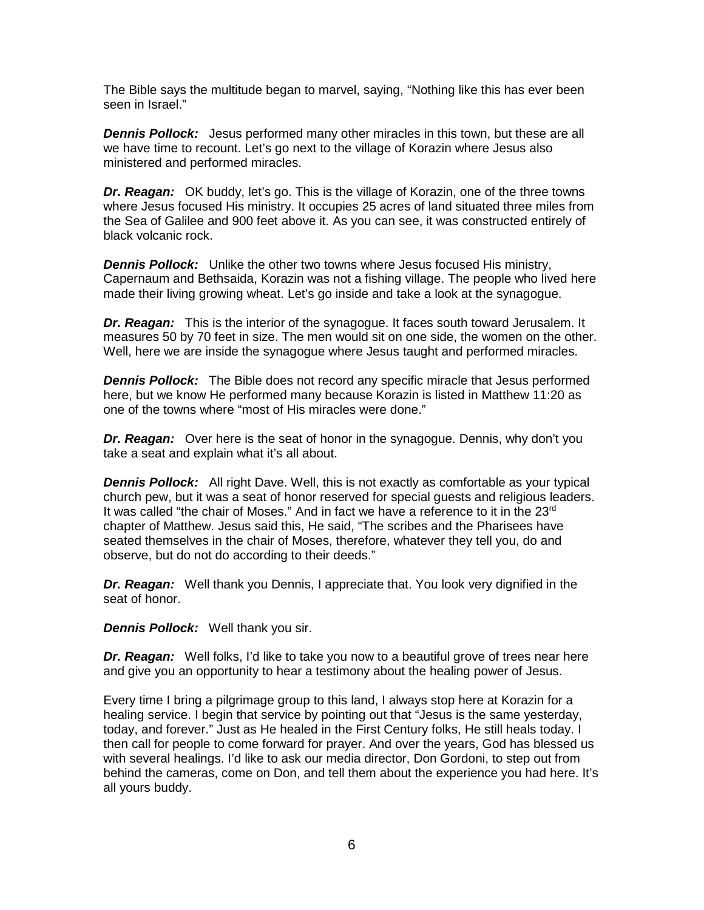The Bible says the multitude began to marvel, saying, "Nothing like this has ever been seen in Israel."

*Dennis Pollock:* Jesus performed many other miracles in this town, but these are all we have time to recount. Let's go next to the village of Korazin where Jesus also ministered and performed miracles.

*Dr. Reagan:* OK buddy, let's go. This is the village of Korazin, one of the three towns where Jesus focused His ministry. It occupies 25 acres of land situated three miles from the Sea of Galilee and 900 feet above it. As you can see, it was constructed entirely of black volcanic rock.

**Dennis Pollock:** Unlike the other two towns where Jesus focused His ministry, Capernaum and Bethsaida, Korazin was not a fishing village. The people who lived here made their living growing wheat. Let's go inside and take a look at the synagogue.

*Dr. Reagan:* This is the interior of the synagogue. It faces south toward Jerusalem. It measures 50 by 70 feet in size. The men would sit on one side, the women on the other. Well, here we are inside the synagogue where Jesus taught and performed miracles.

*Dennis Pollock:* The Bible does not record any specific miracle that Jesus performed here, but we know He performed many because Korazin is listed in Matthew 11:20 as one of the towns where "most of His miracles were done."

*Dr. Reagan:* Over here is the seat of honor in the synagogue. Dennis, why don't you take a seat and explain what it's all about.

*Dennis Pollock:* All right Dave. Well, this is not exactly as comfortable as your typical church pew, but it was a seat of honor reserved for special guests and religious leaders. It was called "the chair of Moses." And in fact we have a reference to it in the 23rd chapter of Matthew. Jesus said this, He said, "The scribes and the Pharisees have seated themselves in the chair of Moses, therefore, whatever they tell you, do and observe, but do not do according to their deeds."

*Dr. Reagan:* Well thank you Dennis, I appreciate that. You look very dignified in the seat of honor.

*Dennis Pollock:* Well thank you sir.

**Dr. Reagan:** Well folks, I'd like to take you now to a beautiful grove of trees near here and give you an opportunity to hear a testimony about the healing power of Jesus.

Every time I bring a pilgrimage group to this land, I always stop here at Korazin for a healing service. I begin that service by pointing out that "Jesus is the same yesterday, today, and forever." Just as He healed in the First Century folks, He still heals today. I then call for people to come forward for prayer. And over the years, God has blessed us with several healings. I'd like to ask our media director, Don Gordoni, to step out from behind the cameras, come on Don, and tell them about the experience you had here. It's all yours buddy.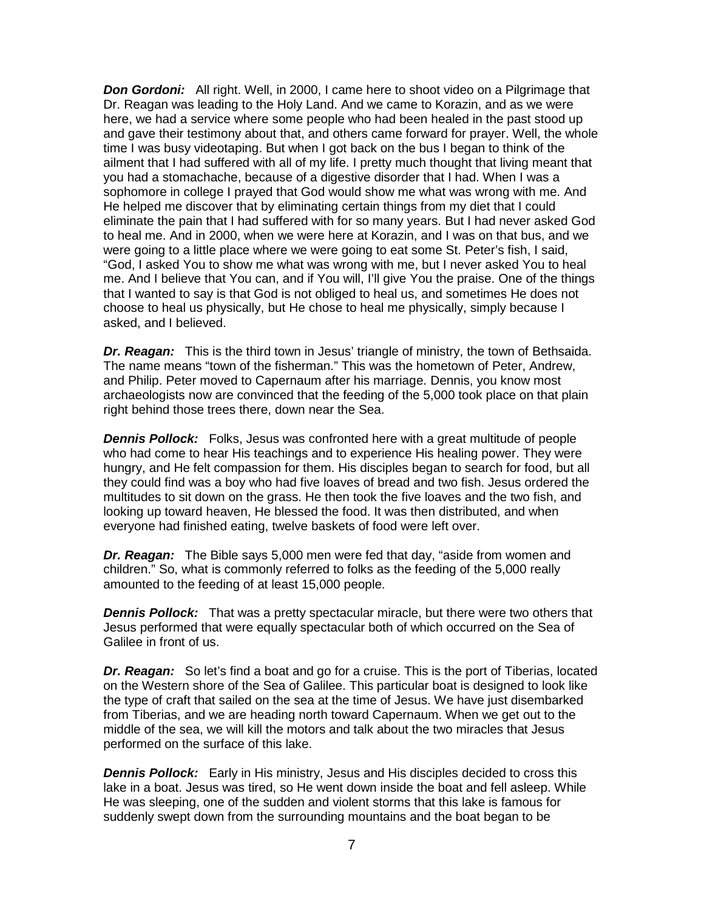**Don Gordoni:** All right. Well, in 2000, I came here to shoot video on a Pilgrimage that Dr. Reagan was leading to the Holy Land. And we came to Korazin, and as we were here, we had a service where some people who had been healed in the past stood up and gave their testimony about that, and others came forward for prayer. Well, the whole time I was busy videotaping. But when I got back on the bus I began to think of the ailment that I had suffered with all of my life. I pretty much thought that living meant that you had a stomachache, because of a digestive disorder that I had. When I was a sophomore in college I prayed that God would show me what was wrong with me. And He helped me discover that by eliminating certain things from my diet that I could eliminate the pain that I had suffered with for so many years. But I had never asked God to heal me. And in 2000, when we were here at Korazin, and I was on that bus, and we were going to a little place where we were going to eat some St. Peter's fish, I said, "God, I asked You to show me what was wrong with me, but I never asked You to heal me. And I believe that You can, and if You will, I'll give You the praise. One of the things that I wanted to say is that God is not obliged to heal us, and sometimes He does not choose to heal us physically, but He chose to heal me physically, simply because I asked, and I believed.

*Dr. Reagan:* This is the third town in Jesus' triangle of ministry, the town of Bethsaida. The name means "town of the fisherman." This was the hometown of Peter, Andrew, and Philip. Peter moved to Capernaum after his marriage. Dennis, you know most archaeologists now are convinced that the feeding of the 5,000 took place on that plain right behind those trees there, down near the Sea.

*Dennis Pollock:* Folks, Jesus was confronted here with a great multitude of people who had come to hear His teachings and to experience His healing power. They were hungry, and He felt compassion for them. His disciples began to search for food, but all they could find was a boy who had five loaves of bread and two fish. Jesus ordered the multitudes to sit down on the grass. He then took the five loaves and the two fish, and looking up toward heaven, He blessed the food. It was then distributed, and when everyone had finished eating, twelve baskets of food were left over.

*Dr. Reagan:* The Bible says 5,000 men were fed that day, "aside from women and children." So, what is commonly referred to folks as the feeding of the 5,000 really amounted to the feeding of at least 15,000 people.

**Dennis Pollock:** That was a pretty spectacular miracle, but there were two others that Jesus performed that were equally spectacular both of which occurred on the Sea of Galilee in front of us.

*Dr. Reagan:* So let's find a boat and go for a cruise. This is the port of Tiberias, located on the Western shore of the Sea of Galilee. This particular boat is designed to look like the type of craft that sailed on the sea at the time of Jesus. We have just disembarked from Tiberias, and we are heading north toward Capernaum. When we get out to the middle of the sea, we will kill the motors and talk about the two miracles that Jesus performed on the surface of this lake.

*Dennis Pollock:* Early in His ministry, Jesus and His disciples decided to cross this lake in a boat. Jesus was tired, so He went down inside the boat and fell asleep. While He was sleeping, one of the sudden and violent storms that this lake is famous for suddenly swept down from the surrounding mountains and the boat began to be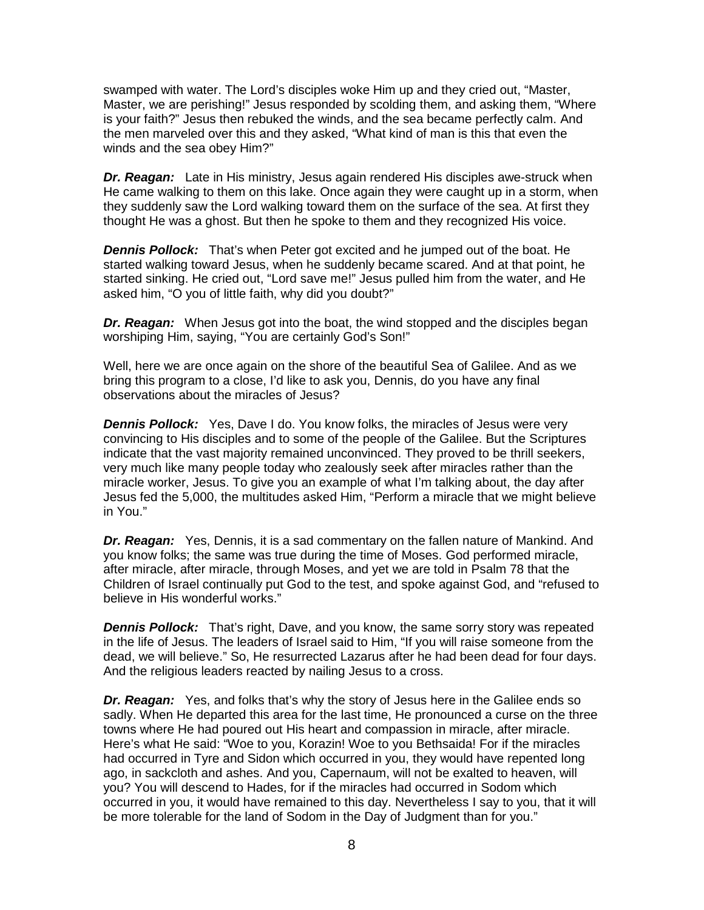swamped with water. The Lord's disciples woke Him up and they cried out, "Master, Master, we are perishing!" Jesus responded by scolding them, and asking them, "Where is your faith?" Jesus then rebuked the winds, and the sea became perfectly calm. And the men marveled over this and they asked, "What kind of man is this that even the winds and the sea obey Him?"

*Dr. Reagan:* Late in His ministry, Jesus again rendered His disciples awe-struck when He came walking to them on this lake. Once again they were caught up in a storm, when they suddenly saw the Lord walking toward them on the surface of the sea. At first they thought He was a ghost. But then he spoke to them and they recognized His voice.

*Dennis Pollock:* That's when Peter got excited and he jumped out of the boat. He started walking toward Jesus, when he suddenly became scared. And at that point, he started sinking. He cried out, "Lord save me!" Jesus pulled him from the water, and He asked him, "O you of little faith, why did you doubt?"

*Dr. Reagan:* When Jesus got into the boat, the wind stopped and the disciples began worshiping Him, saying, "You are certainly God's Son!"

Well, here we are once again on the shore of the beautiful Sea of Galilee. And as we bring this program to a close, I'd like to ask you, Dennis, do you have any final observations about the miracles of Jesus?

*Dennis Pollock:* Yes, Dave I do. You know folks, the miracles of Jesus were very convincing to His disciples and to some of the people of the Galilee. But the Scriptures indicate that the vast majority remained unconvinced. They proved to be thrill seekers, very much like many people today who zealously seek after miracles rather than the miracle worker, Jesus. To give you an example of what I'm talking about, the day after Jesus fed the 5,000, the multitudes asked Him, "Perform a miracle that we might believe in You."

*Dr. Reagan:* Yes, Dennis, it is a sad commentary on the fallen nature of Mankind. And you know folks; the same was true during the time of Moses. God performed miracle, after miracle, after miracle, through Moses, and yet we are told in Psalm 78 that the Children of Israel continually put God to the test, and spoke against God, and "refused to believe in His wonderful works."

**Dennis Pollock:** That's right, Dave, and you know, the same sorry story was repeated in the life of Jesus. The leaders of Israel said to Him, "If you will raise someone from the dead, we will believe." So, He resurrected Lazarus after he had been dead for four days. And the religious leaders reacted by nailing Jesus to a cross.

*Dr. Reagan:* Yes, and folks that's why the story of Jesus here in the Galilee ends so sadly. When He departed this area for the last time, He pronounced a curse on the three towns where He had poured out His heart and compassion in miracle, after miracle. Here's what He said: "Woe to you, Korazin! Woe to you Bethsaida! For if the miracles had occurred in Tyre and Sidon which occurred in you, they would have repented long ago, in sackcloth and ashes. And you, Capernaum, will not be exalted to heaven, will you? You will descend to Hades, for if the miracles had occurred in Sodom which occurred in you, it would have remained to this day. Nevertheless I say to you, that it will be more tolerable for the land of Sodom in the Day of Judgment than for you."